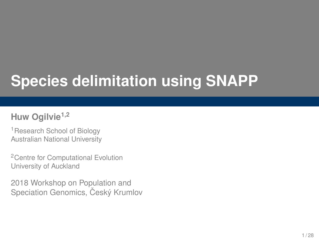# **Species delimitation using SNAPP**

#### **Huw Ogilvie1,2**

<sup>1</sup> Research School of Biology Australian National University

<sup>2</sup> Centre for Computational Evolution University of Auckland

2018 Workshop on Population and Speciation Genomics, Český Krumlov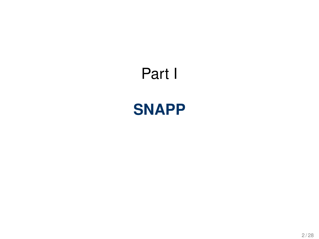# <span id="page-1-0"></span>Part I

## **[SNAPP](#page-1-0)**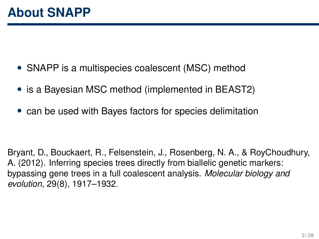- SNAPP is a multispecies coalescent (MSC) method
- is a Bayesian MSC method (implemented in BEAST2)
- can be used with Bayes factors for species delimitation

Bryant, D., Bouckaert, R., Felsenstein, J., Rosenberg, N. A., & RoyChoudhury, A. (2012). Inferring species trees directly from biallelic genetic markers: bypassing gene trees in a full coalescent analysis. *Molecular biology and evolution*, 29(8), 1917–1932.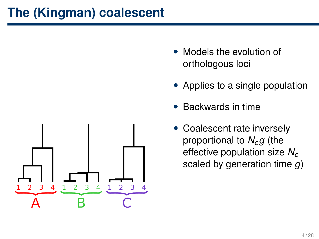#### **The (Kingman) coalescent**



- Models the evolution of orthologous loci
- Applies to a single population
- Backwards in time
- Coalescent rate inversely proportional to *Neg* (the effective population size *N<sup>e</sup>* scaled by generation time *g*)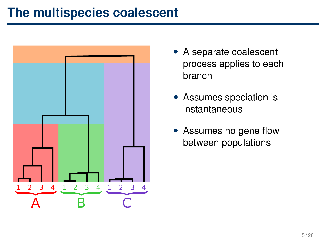#### **The multispecies coalescent**



- A separate coalescent process applies to each branch
- Assumes speciation is instantaneous
- Assumes no gene flow between populations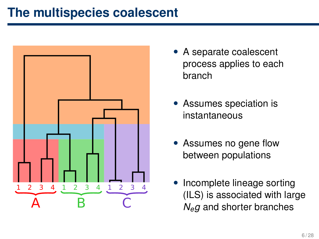#### **The multispecies coalescent**



- A separate coalescent process applies to each branch
- Assumes speciation is instantaneous
- Assumes no gene flow between populations
- Incomplete lineage sorting (ILS) is associated with large *Neg* and shorter branches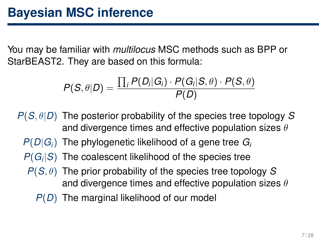You may be familiar with *multilocus* MSC methods such as BPP or StarBEAST2. They are based on this formula:

$$
P(S, \theta|D) = \frac{\prod_i P(D_i|G_i) \cdot P(G_i|S, \theta) \cdot P(S, \theta)}{P(D)}
$$

- *P*(*S*, θ|*D*) The posterior probability of the species tree topology *S* and divergence times and effective population sizes  $\theta$ 
	- $P(D|G_i)$  The phylogenetic likelihood of a gene tree  $G_i$
	- *P*(*G<sup>i</sup>* |*S*) The coalescent likelihood of the species tree
	- *P*(*S*, θ) The prior probability of the species tree topology *S* and divergence times and effective population sizes  $\theta$ 
		- *P*(*D*) The marginal likelihood of our model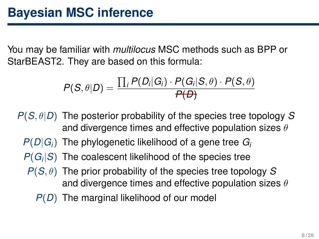You may be familiar with *multilocus* MSC methods such as BPP or StarBEAST2. They are based on this formula:

$$
P(S, \theta|D) = \frac{\prod_i P(D_i|G_i) \cdot P(G_i|S, \theta) \cdot P(S, \theta)}{P(D)}
$$

- *P*(*S*, θ|*D*) The posterior probability of the species tree topology *S* and divergence times and effective population sizes  $\theta$ 
	- $P(D|G_i)$  The phylogenetic likelihood of a gene tree  $G_i$
	- *P*(*G<sup>i</sup>* |*S*) The coalescent likelihood of the species tree
	- *P*(*S*, θ) The prior probability of the species tree topology *S* and divergence times and effective population sizes  $\theta$ 
		- *P*(*D*) The marginal likelihood of our model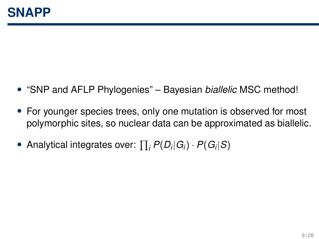- "SNP and AFLP Phylogenies" Bayesian *biallelic* MSC method!
- For younger species trees, only one mutation is observed for most polymorphic sites, so nuclear data can be approximated as biallelic.
- Analytical integrates over:  $\prod_i P(D_i|G_i) \cdot P(G_i|S)$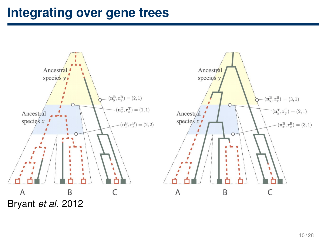#### **Integrating over gene trees**

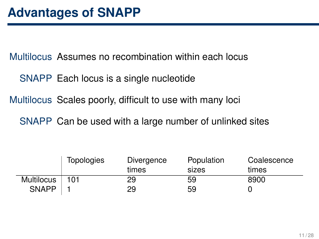Multilocus Assumes no recombination within each locus

SNAPP Each locus is a single nucleotide

Multilocus Scales poorly, difficult to use with many loci

SNAPP Can be used with a large number of unlinked sites

|              | Topologies | Divergence<br>times | Population<br>sizes | Coalescence<br>times |
|--------------|------------|---------------------|---------------------|----------------------|
| Multilocus   | 101        | 29                  | 59                  | 8900                 |
| <b>SNAPP</b> |            | 29                  | 59                  |                      |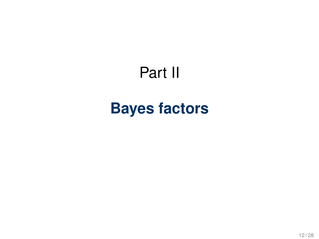## Part II

## <span id="page-11-0"></span>**[Bayes factors](#page-11-0)**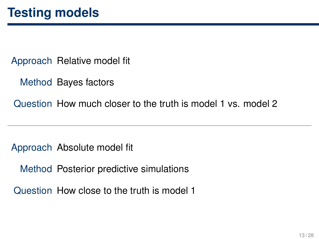Approach Relative model fit

Method Bayes factors

Question How much closer to the truth is model 1 vs. model 2

Approach Absolute model fit

Method Posterior predictive simulations

Question How close to the truth is model 1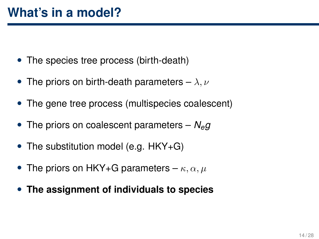- The species tree process (birth-death)
- The priors on birth-death parameters  $-\lambda, \nu$
- The gene tree process (multispecies coalescent)
- The priors on coalescent parameters *Neg*
- The substitution model (e.g. HKY+G)
- The priors on HKY+G parameters  $\kappa, \alpha, \mu$
- **The assignment of individuals to species**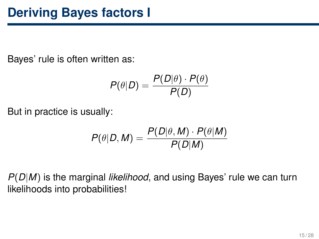Bayes' rule is often written as:

$$
P(\theta|D) = \frac{P(D|\theta) \cdot P(\theta)}{P(D)}
$$

But in practice is usually:

$$
P(\theta|D, M) = \frac{P(D|\theta, M) \cdot P(\theta|M)}{P(D|M)}
$$

*P*(*D*|*M*) is the marginal *likelihood*, and using Bayes' rule we can turn likelihoods into probabilities!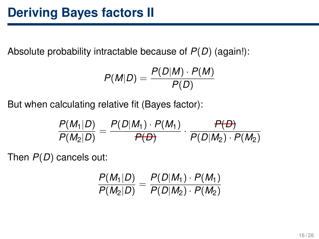Absolute probability intractable because of *P*(*D*) (again!):

$$
P(M|D) = \frac{P(D|M) \cdot P(M)}{P(D)}
$$

But when calculating relative fit (Bayes factor):

$$
\frac{P(M_1|D)}{P(M_2|D)} = \frac{P(D|M_1) \cdot P(M_1)}{P(D)} \cdot \frac{P(D)}{P(D|M_2) \cdot P(M_2)}
$$

Then *P*(*D*) cancels out:

$$
\frac{P(M_1|D)}{P(M_2|D)} = \frac{P(D|M_1) \cdot P(M_1)}{P(D|M_2) \cdot P(M_2)}
$$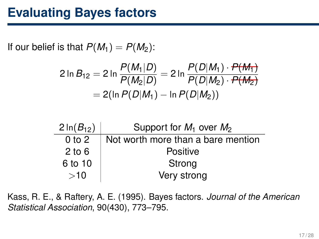#### **Evaluating Bayes factors**

If our belief is that  $P(M_1) = P(M_2)$ :

٠

$$
2 \ln B_{12} = 2 \ln \frac{P(M_1|D)}{P(M_2|D)} = 2 \ln \frac{P(D|M_1) \cdot P(M_1)}{P(D|M_2) \cdot P(M_2)}
$$
  
= 2(\ln P(D|M\_1) - \ln P(D|M\_2))

| $2 \ln(B_{12})$ | Support for $M_1$ over $M_2$       |
|-----------------|------------------------------------|
| $0$ to $2$      | Not worth more than a bare mention |
| $2$ to 6        | <b>Positive</b>                    |
| 6 to 10         | Strong                             |
| >10             | Very strong                        |

Kass, R. E., & Raftery, A. E. (1995). Bayes factors. *Journal of the American Statistical Association*, 90(430), 773–795.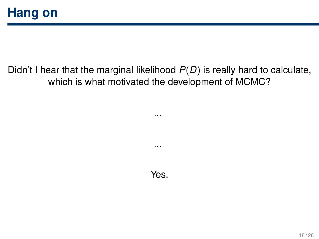#### Didn't I hear that the marginal likelihood *P*(*D*) is really hard to calculate, which is what motivated the development of MCMC?

...

...

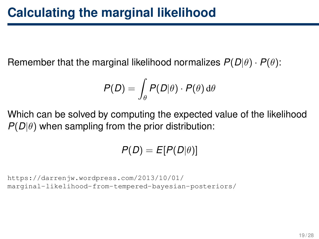Remember that the marginal likelihood normalizes  $P(D|\theta) \cdot P(\theta)$ :

$$
P(D) = \int_{\theta} P(D|\theta) \cdot P(\theta) \, \mathrm{d}\theta
$$

Which can be solved by computing the expected value of the likelihood  $P(D|\theta)$  when sampling from the prior distribution:

$$
P(D) = E[P(D|\theta)]
$$

```
https://darrenjw.wordpress.com/2013/10/01/
marginal-likelihood-from-tempered-bayesian-posteriors/
```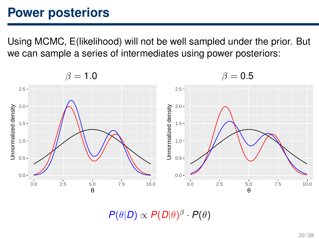#### **Power posteriors**

Using MCMC, E(likelihood) will not be well sampled under the prior. But we can sample a series of intermediates using power posteriors:



 $P(\theta|D) \propto P(D|\theta)^{\beta} \cdot P(\theta)$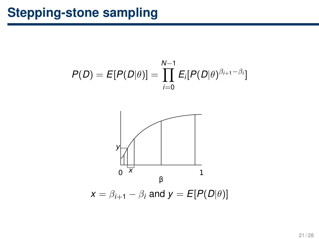### **Stepping-stone sampling**



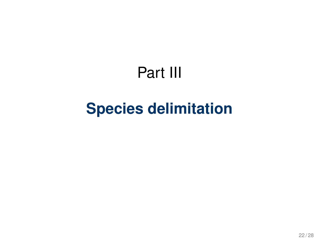## Part III

## <span id="page-21-0"></span>**[Species delimitation](#page-21-0)**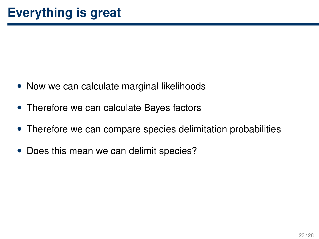- Now we can calculate marginal likelihoods
- Therefore we can calculate Bayes factors
- Therefore we can compare species delimitation probabilities
- Does this mean we can delimit species?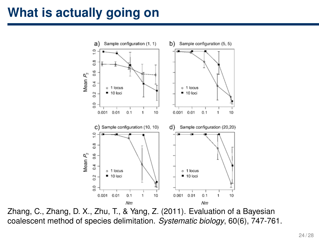#### **What is actually going on**



Zhang, C., Zhang, D. X., Zhu, T., & Yang, Z. (2011). Evaluation of a Bayesian coalescent method of species delimitation. *Systematic biology*, 60(6), 747-761.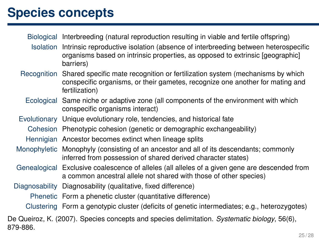#### **Species concepts**

Biological Interbreeding (natural reproduction resulting in viable and fertile offspring)

- Isolation Intrinsic reproductive isolation (absence of interbreeding between heterospecific organisms based on intrinsic properties, as opposed to extrinsic [geographic] barriers)
- Recognition Shared specific mate recognition or fertilization system (mechanisms by which conspecific organisms, or their gametes, recognize one another for mating and fertilization)
	- Ecological Same niche or adaptive zone (all components of the environment with which conspecific organisms interact)
- Evolutionary Unique evolutionary role, tendencies, and historical fate
	- Cohesion Phenotypic cohesion (genetic or demographic exchangeability)
- Hennigian Ancestor becomes extinct when lineage splits
- Monophyletic Monophyly (consisting of an ancestor and all of its descendants; commonly inferred from possession of shared derived character states)
- Genealogical Exclusive coalescence of alleles (all alleles of a given gene are descended from a common ancestral allele not shared with those of other species)
- Diagnosability Diagnosability (qualitative, fixed difference)
	- Phenetic Form a phenetic cluster (quantitative difference)
	- Clustering Form a genotypic cluster (deficits of genetic intermediates; e.g., heterozygotes)

De Queiroz, K. (2007). Species concepts and species delimitation. *Systematic biology*, 56(6), 879-886.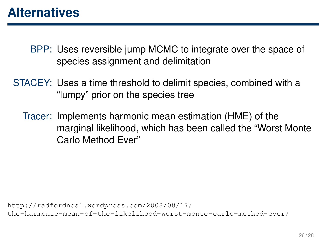#### **Alternatives**

BPP: Uses reversible jump MCMC to integrate over the space of species assignment and delimitation

STACEY: Uses a time threshold to delimit species, combined with a "lumpy" prior on the species tree

Tracer: Implements harmonic mean estimation (HME) of the marginal likelihood, which has been called the "Worst Monte Carlo Method Ever"

[http://radfordneal.wordpress.com/2008/08/17/](http://radfordneal.wordpress.com/2008/08/17/the-harmonic-mean-of-the-likelihood-worst-monte-carlo-method-ever/) [the-harmonic-mean-of-the-likelihood-worst-monte-carlo-method-ever/](http://radfordneal.wordpress.com/2008/08/17/the-harmonic-mean-of-the-likelihood-worst-monte-carlo-method-ever/)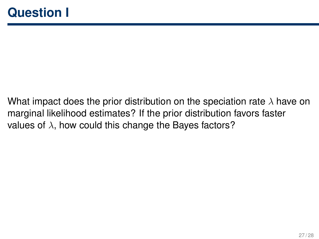What impact does the prior distribution on the speciation rate  $\lambda$  have on marginal likelihood estimates? If the prior distribution favors faster values of  $\lambda$ , how could this change the Bayes factors?